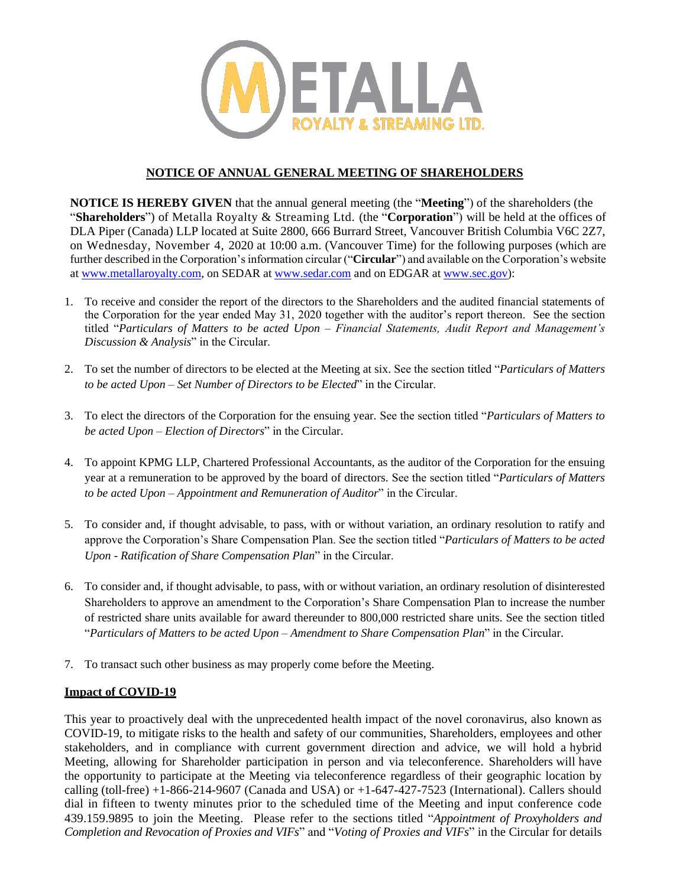

## **NOTICE OF ANNUAL GENERAL MEETING OF SHAREHOLDERS**

**NOTICE IS HEREBY GIVEN** that the annual general meeting (the "**Meeting**") of the shareholders (the "**Shareholders**") of Metalla Royalty & Streaming Ltd. (the "**Corporation**") will be held at the offices of DLA Piper (Canada) LLP located at Suite 2800, 666 Burrard Street, Vancouver British Columbia V6C 2Z7, on Wednesday, November 4, 2020 at 10:00 a.m. (Vancouver Time) for the following purposes (which are further described in the Corporation's information circular ("**Circular**") and available on the Corporation's website at [www.metallaroyalty.com,](http://www.metallaroyalty.com/) on SEDAR at [www.sedar.com](http://www.sedar.com/) and on EDGAR at [www.sec.gov\)](http://www.sec.gov/):

- 1. To receive and consider the report of the directors to the Shareholders and the audited financial statements of the Corporation for the year ended May 31, 2020 together with the auditor's report thereon. See the section titled "*Particulars of Matters to be acted Upon – Financial Statements, Audit Report and Management's Discussion & Analysis*" in the Circular.
- 2. To set the number of directors to be elected at the Meeting at six. See the section titled "*Particulars of Matters to be acted Upon – Set Number of Directors to be Elected*" in the Circular.
- 3. To elect the directors of the Corporation for the ensuing year. See the section titled "*Particulars of Matters to be acted Upon – Election of Directors*" in the Circular.
- 4. To appoint KPMG LLP, Chartered Professional Accountants, as the auditor of the Corporation for the ensuing year at a remuneration to be approved by the board of directors. See the section titled "*Particulars of Matters to be acted Upon – Appointment and Remuneration of Auditor*" in the Circular.
- 5. To consider and, if thought advisable, to pass, with or without variation, an ordinary resolution to ratify and approve the Corporation's Share Compensation Plan. See the section titled "*Particulars of Matters to be acted Upon - Ratification of Share Compensation Plan*" in the Circular.
- 6. To consider and, if thought advisable, to pass, with or without variation, an ordinary resolution of disinterested Shareholders to approve an amendment to the Corporation's Share Compensation Plan to increase the number of restricted share units available for award thereunder to 800,000 restricted share units. See the section titled "*Particulars of Matters to be acted Upon – Amendment to Share Compensation Plan*" in the Circular.
- 7. To transact such other business as may properly come before the Meeting.

## **Impact of COVID-19**

This year to proactively deal with the unprecedented health impact of the novel coronavirus, also known as COVID-19, to mitigate risks to the health and safety of our communities, Shareholders, employees and other stakeholders, and in compliance with current government direction and advice, we will hold a hybrid Meeting, allowing for Shareholder participation in person and via teleconference. Shareholders will have the opportunity to participate at the Meeting via teleconference regardless of their geographic location by calling (toll-free) +1-866-214-9607 (Canada and USA) or +1-647-427-7523 (International). Callers should dial in fifteen to twenty minutes prior to the scheduled time of the Meeting and input conference code 439.159.9895 to join the Meeting. Please refer to the sections titled "*Appointment of Proxyholders and Completion and Revocation of Proxies and VIFs*" and "*Voting of Proxies and VIFs*" in the Circular for details